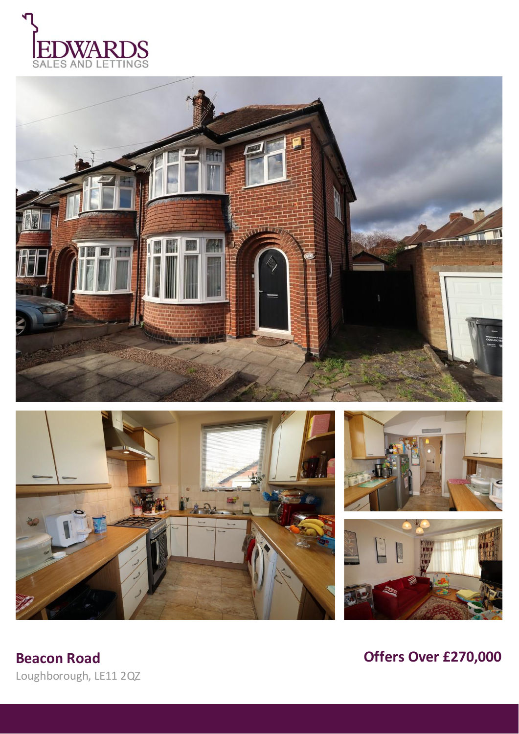









**Beacon Road** Loughborough, LE11 2QZ Offers Over £270,000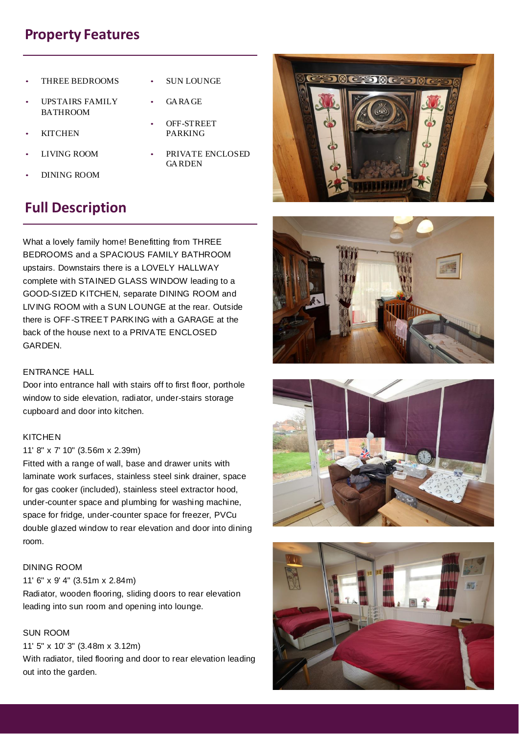# **Property Features**

- THREE BEDROOMS
- UPSTAIRS FAMILY BATHROOM
- KITCHEN
- LIVING ROOM
- DINING ROOM
- PRIVATE ENCLOSED GARDEN

**SUN LOUNGE** 

OFF-STREET PARKING

GARAGE

# **Full Description**

What a lovely family home! Benefitting from THREE BEDROOMS and a SPACIOUS FAMILY BATHROOM upstairs. Downstairs there is a LOVELY HALLWAY complete with STAINED GLASS WINDOW leading to a GOOD-SIZED KITCHEN, separate DINING ROOM and LIVING ROOM with a SUN LOUNGE at the rear. Outside there is OFF-STREET PARKING with a GARAGE at the back of the house next to a PRIVATE ENCLOSED GARDEN.

## ENTRANCE HALL

Door into entrance hall with stairs off to first floor, porthole window to side elevation, radiator, under-stairs storage cupboard and door into kitchen.

## **KITCHEN**

## 11' 8" x 7' 10" (3.56m x 2.39m)

Fitted with a range of wall, base and drawer units with laminate work surfaces, stainless steel sink drainer, space for gas cooker (included), stainless steel extractor hood, under-counter space and plumbing for washing machine, space for fridge, under-counter space for freezer, PVCu double glazed window to rear elevation and door into dining room.

## DINING ROOM

## 11' 6" x 9' 4" (3.51m x 2.84m)

Radiator, wooden flooring, sliding doors to rear elevation leading into sun room and opening into lounge.

## SUN ROOM

## 11' 5" x 10' 3" (3.48m x 3.12m)

With radiator, tiled flooring and door to rear elevation leading out into the garden.







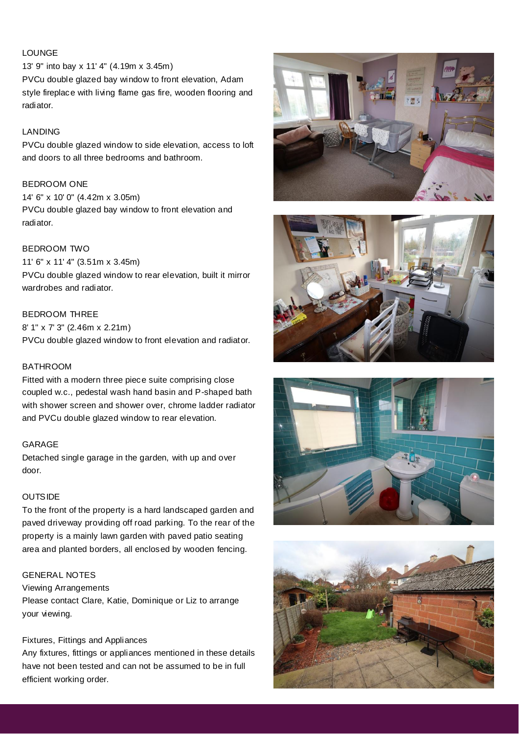# LOUNGE

13' 9" into bay x 11' 4" (4.19m x 3.45m) PVCu double glazed bay window to front elevation, Adam style fireplace with living flame gas fire, wooden flooring and radiator.

## LANDING

PVCu double glazed window to side elevation, access to loft and doors to all three bedrooms and bathroom.

#### BEDROOM ONE

14' 6" x 10' 0" (4.42m x 3.05m) PVCu double glazed bay window to front elevation and radiator.

## BEDROOM TWO

11' 6" x 11' 4" (3.51m x 3.45m) PVCu double glazed window to rear elevation, built it mirror wardrobes and radiator.

## BEDROOM THREE

8' 1" x 7' 3" (2.46m x 2.21m) PVCu double glazed window to front elevation and radiator.

## BATHROOM

Fitted with a modern three piece suite comprising close coupled w.c., pedestal wash hand basin and P-shaped bath with shower screen and shower over, chrome ladder radiator and PVCu double glazed window to rear elevation.

#### GARAGE

Detached single garage in the garden, with up and over door.

#### **OUTSIDE**

To the front of the property is a hard landscaped garden and paved driveway providing off road parking. To the rear of the property is a mainly lawn garden with paved patio seating area and planted borders, all enclosed by wooden fencing.

#### GENERAL NOTES

Viewing Arrangements Please contact Clare, Katie, Dominique or Liz to arrange your viewing.

#### Fixtures, Fittings and Appliances

Any fixtures, fittings or appliances mentioned in these details have not been tested and can not be assumed to be in full efficient working order.